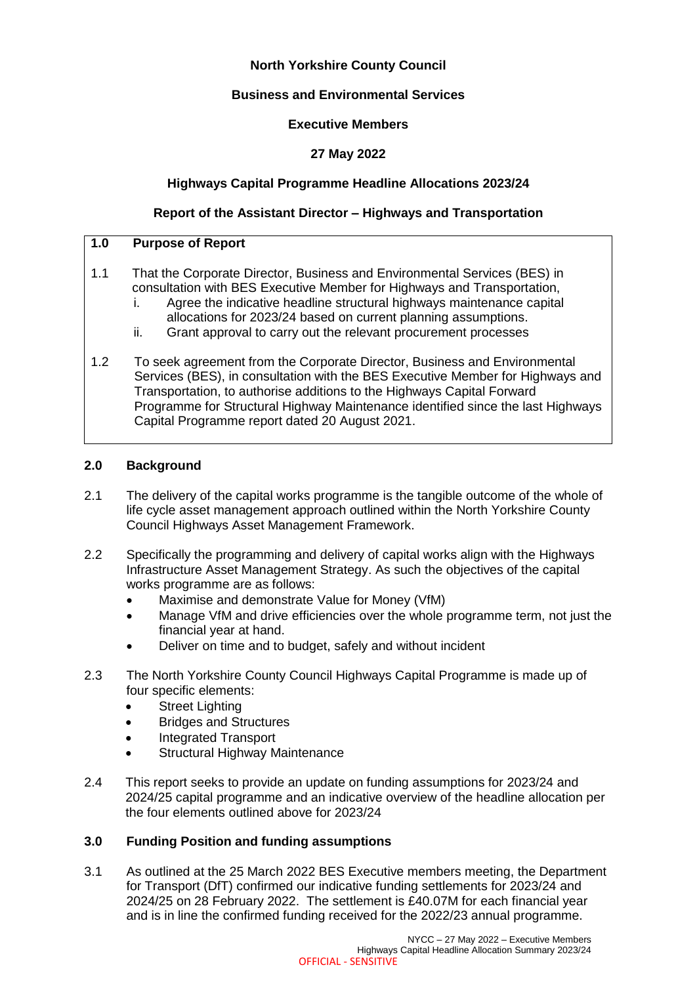# **North Yorkshire County Council**

# **Business and Environmental Services**

### **Executive Members**

# **27 May 2022**

## **Highways Capital Programme Headline Allocations 2023/24**

## **Report of the Assistant Director – Highways and Transportation**

### **1.0 Purpose of Report**

- 1.1 That the Corporate Director, Business and Environmental Services (BES) in consultation with BES Executive Member for Highways and Transportation,
	- i. Agree the indicative headline structural highways maintenance capital
	- allocations for 2023/24 based on current planning assumptions.
	- ii. Grant approval to carry out the relevant procurement processes
- 1.2 To seek agreement from the Corporate Director, Business and Environmental Services (BES), in consultation with the BES Executive Member for Highways and Transportation, to authorise additions to the Highways Capital Forward Programme for Structural Highway Maintenance identified since the last Highways Capital Programme report dated 20 August 2021.

### **2.0 Background**

- 2.1 The delivery of the capital works programme is the tangible outcome of the whole of life cycle asset management approach outlined within the North Yorkshire County Council Highways Asset Management Framework.
- 2.2 Specifically the programming and delivery of capital works align with the Highways Infrastructure Asset Management Strategy. As such the objectives of the capital works programme are as follows:
	- Maximise and demonstrate Value for Money (VfM)
	- Manage VfM and drive efficiencies over the whole programme term, not just the financial year at hand.
	- Deliver on time and to budget, safely and without incident
- 2.3 The North Yorkshire County Council Highways Capital Programme is made up of four specific elements:
	- Street Lighting
	- Bridges and Structures
	- Integrated Transport
	- Structural Highway Maintenance
- 2.4 This report seeks to provide an update on funding assumptions for 2023/24 and 2024/25 capital programme and an indicative overview of the headline allocation per the four elements outlined above for 2023/24

### **3.0 Funding Position and funding assumptions**

3.1 As outlined at the 25 March 2022 BES Executive members meeting, the Department for Transport (DfT) confirmed our indicative funding settlements for 2023/24 and 2024/25 on 28 February 2022. The settlement is £40.07M for each financial year and is in line the confirmed funding received for the 2022/23 annual programme.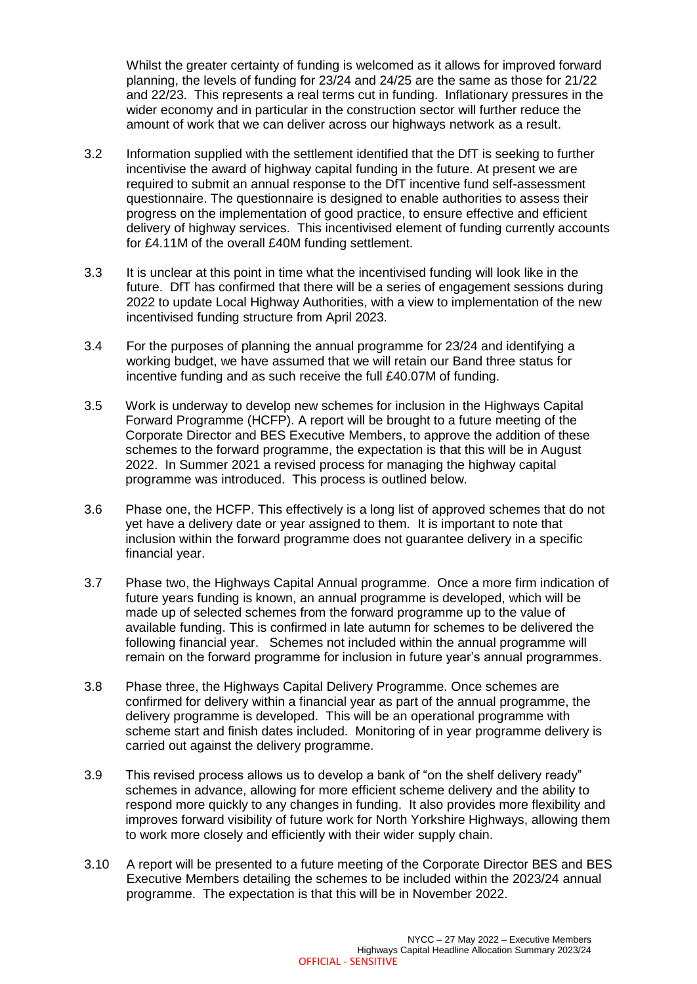Whilst the greater certainty of funding is welcomed as it allows for improved forward planning, the levels of funding for 23/24 and 24/25 are the same as those for 21/22 and 22/23. This represents a real terms cut in funding. Inflationary pressures in the wider economy and in particular in the construction sector will further reduce the amount of work that we can deliver across our highways network as a result.

- 3.2 Information supplied with the settlement identified that the DfT is seeking to further incentivise the award of highway capital funding in the future. At present we are required to submit an annual response to the DfT incentive fund self-assessment questionnaire. The questionnaire is designed to enable authorities to assess their progress on the implementation of good practice, to ensure effective and efficient delivery of highway services. This incentivised element of funding currently accounts for £4.11M of the overall £40M funding settlement.
- 3.3 It is unclear at this point in time what the incentivised funding will look like in the future. DfT has confirmed that there will be a series of engagement sessions during 2022 to update Local Highway Authorities, with a view to implementation of the new incentivised funding structure from April 2023.
- 3.4 For the purposes of planning the annual programme for 23/24 and identifying a working budget, we have assumed that we will retain our Band three status for incentive funding and as such receive the full £40.07M of funding.
- 3.5 Work is underway to develop new schemes for inclusion in the Highways Capital Forward Programme (HCFP). A report will be brought to a future meeting of the Corporate Director and BES Executive Members, to approve the addition of these schemes to the forward programme, the expectation is that this will be in August 2022. In Summer 2021 a revised process for managing the highway capital programme was introduced. This process is outlined below.
- 3.6 Phase one, the HCFP. This effectively is a long list of approved schemes that do not yet have a delivery date or year assigned to them. It is important to note that inclusion within the forward programme does not guarantee delivery in a specific financial year.
- 3.7 Phase two, the Highways Capital Annual programme. Once a more firm indication of future years funding is known, an annual programme is developed, which will be made up of selected schemes from the forward programme up to the value of available funding. This is confirmed in late autumn for schemes to be delivered the following financial year. Schemes not included within the annual programme will remain on the forward programme for inclusion in future year's annual programmes.
- 3.8 Phase three, the Highways Capital Delivery Programme. Once schemes are confirmed for delivery within a financial year as part of the annual programme, the delivery programme is developed. This will be an operational programme with scheme start and finish dates included. Monitoring of in year programme delivery is carried out against the delivery programme.
- 3.9 This revised process allows us to develop a bank of "on the shelf delivery ready" schemes in advance, allowing for more efficient scheme delivery and the ability to respond more quickly to any changes in funding. It also provides more flexibility and improves forward visibility of future work for North Yorkshire Highways, allowing them to work more closely and efficiently with their wider supply chain.
- 3.10 A report will be presented to a future meeting of the Corporate Director BES and BES Executive Members detailing the schemes to be included within the 2023/24 annual programme. The expectation is that this will be in November 2022.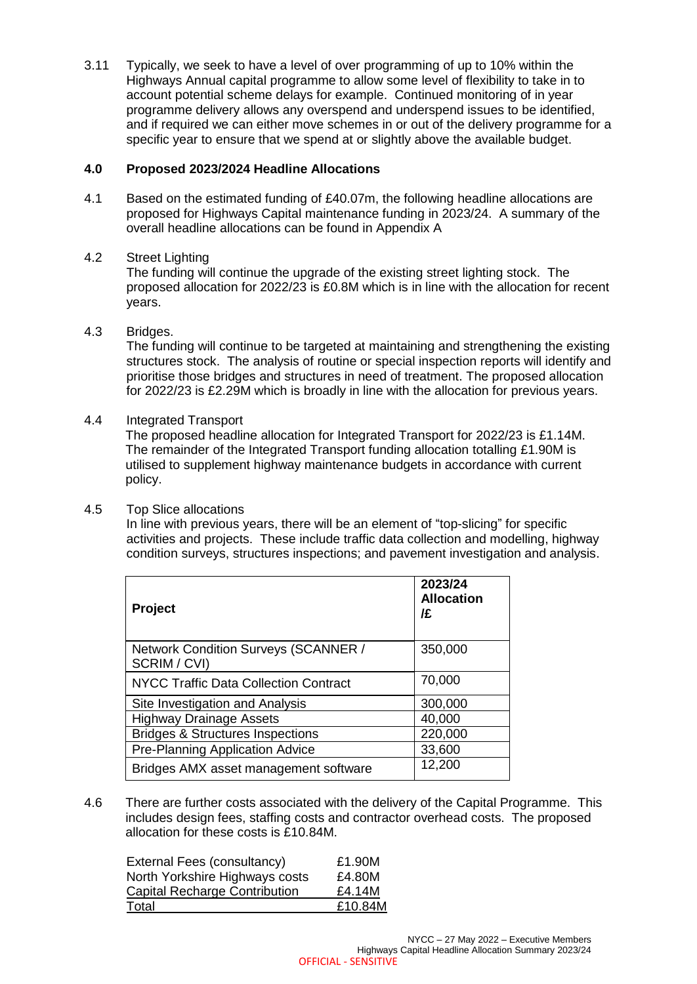3.11 Typically, we seek to have a level of over programming of up to 10% within the Highways Annual capital programme to allow some level of flexibility to take in to account potential scheme delays for example. Continued monitoring of in year programme delivery allows any overspend and underspend issues to be identified, and if required we can either move schemes in or out of the delivery programme for a specific year to ensure that we spend at or slightly above the available budget.

## **4.0 Proposed 2023/2024 Headline Allocations**

- 4.1 Based on the estimated funding of £40.07m, the following headline allocations are proposed for Highways Capital maintenance funding in 2023/24. A summary of the overall headline allocations can be found in Appendix A
- 4.2 Street Lighting

The funding will continue the upgrade of the existing street lighting stock. The proposed allocation for 2022/23 is £0.8M which is in line with the allocation for recent years.

4.3 Bridges.

The funding will continue to be targeted at maintaining and strengthening the existing structures stock. The analysis of routine or special inspection reports will identify and prioritise those bridges and structures in need of treatment. The proposed allocation for 2022/23 is £2.29M which is broadly in line with the allocation for previous years.

4.4 Integrated Transport

The proposed headline allocation for Integrated Transport for 2022/23 is £1.14M. The remainder of the Integrated Transport funding allocation totalling £1.90M is utilised to supplement highway maintenance budgets in accordance with current policy.

4.5 Top Slice allocations

In line with previous years, there will be an element of "top-slicing" for specific activities and projects. These include traffic data collection and modelling, highway condition surveys, structures inspections; and pavement investigation and analysis.

| <b>Project</b>                                       | 2023/24<br><b>Allocation</b><br>/£ |
|------------------------------------------------------|------------------------------------|
| Network Condition Surveys (SCANNER /<br>SCRIM / CVI) | 350,000                            |
| <b>NYCC Traffic Data Collection Contract</b>         | 70,000                             |
| Site Investigation and Analysis                      | 300,000                            |
| <b>Highway Drainage Assets</b>                       | 40,000                             |
| <b>Bridges &amp; Structures Inspections</b>          | 220,000                            |
| <b>Pre-Planning Application Advice</b>               | 33,600                             |
| Bridges AMX asset management software                | 12,200                             |

4.6 There are further costs associated with the delivery of the Capital Programme. This includes design fees, staffing costs and contractor overhead costs. The proposed allocation for these costs is £10.84M.

| External Fees (consultancy)<br>North Yorkshire Highways costs | £1.90M<br>£4.80M |
|---------------------------------------------------------------|------------------|
| Capital Recharge Contribution                                 | £4.14M           |
| Total                                                         | £10.84M          |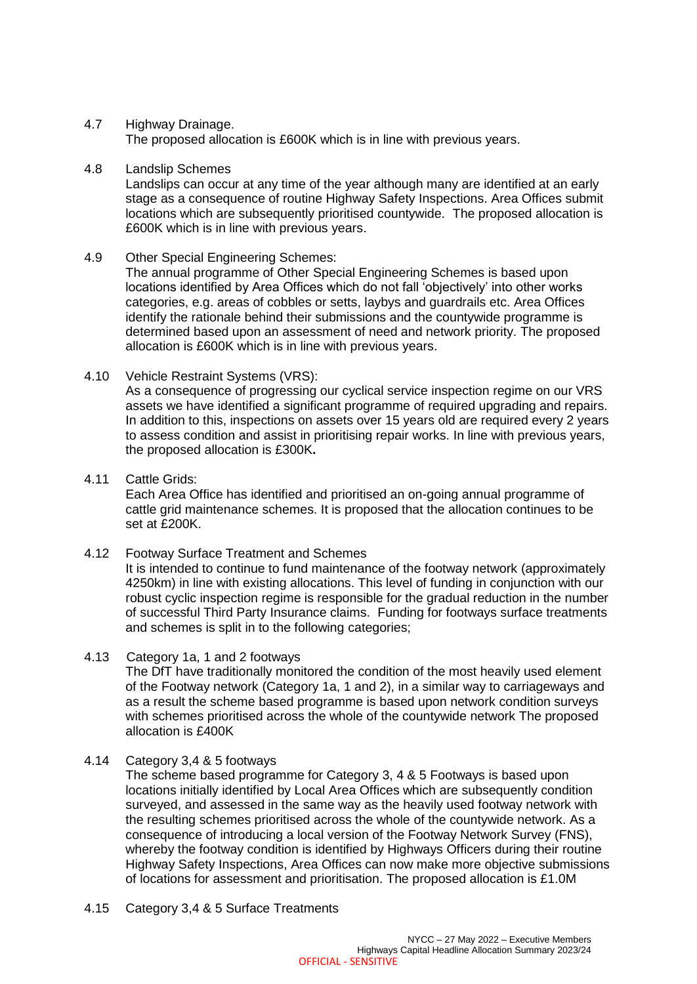#### 4.7 Highway Drainage.

The proposed allocation is £600K which is in line with previous years.

4.8 Landslip Schemes

Landslips can occur at any time of the year although many are identified at an early stage as a consequence of routine Highway Safety Inspections. Area Offices submit locations which are subsequently prioritised countywide. The proposed allocation is £600K which is in line with previous years.

4.9 Other Special Engineering Schemes:

The annual programme of Other Special Engineering Schemes is based upon locations identified by Area Offices which do not fall 'objectively' into other works categories, e.g. areas of cobbles or setts, laybys and guardrails etc. Area Offices identify the rationale behind their submissions and the countywide programme is determined based upon an assessment of need and network priority. The proposed allocation is £600K which is in line with previous years.

4.10 Vehicle Restraint Systems (VRS):

As a consequence of progressing our cyclical service inspection regime on our VRS assets we have identified a significant programme of required upgrading and repairs. In addition to this, inspections on assets over 15 years old are required every 2 years to assess condition and assist in prioritising repair works. In line with previous years, the proposed allocation is £300K**.**

4.11 Cattle Grids:

Each Area Office has identified and prioritised an on-going annual programme of cattle grid maintenance schemes. It is proposed that the allocation continues to be set at £200K.

4.12 Footway Surface Treatment and Schemes

It is intended to continue to fund maintenance of the footway network (approximately 4250km) in line with existing allocations. This level of funding in conjunction with our robust cyclic inspection regime is responsible for the gradual reduction in the number of successful Third Party Insurance claims. Funding for footways surface treatments and schemes is split in to the following categories;

4.13 Category 1a, 1 and 2 footways

The DfT have traditionally monitored the condition of the most heavily used element of the Footway network (Category 1a, 1 and 2), in a similar way to carriageways and as a result the scheme based programme is based upon network condition surveys with schemes prioritised across the whole of the countywide network The proposed allocation is £400K

4.14 Category 3,4 & 5 footways

The scheme based programme for Category 3, 4 & 5 Footways is based upon locations initially identified by Local Area Offices which are subsequently condition surveyed, and assessed in the same way as the heavily used footway network with the resulting schemes prioritised across the whole of the countywide network. As a consequence of introducing a local version of the Footway Network Survey (FNS), whereby the footway condition is identified by Highways Officers during their routine Highway Safety Inspections, Area Offices can now make more objective submissions of locations for assessment and prioritisation. The proposed allocation is £1.0M

4.15 Category 3,4 & 5 Surface Treatments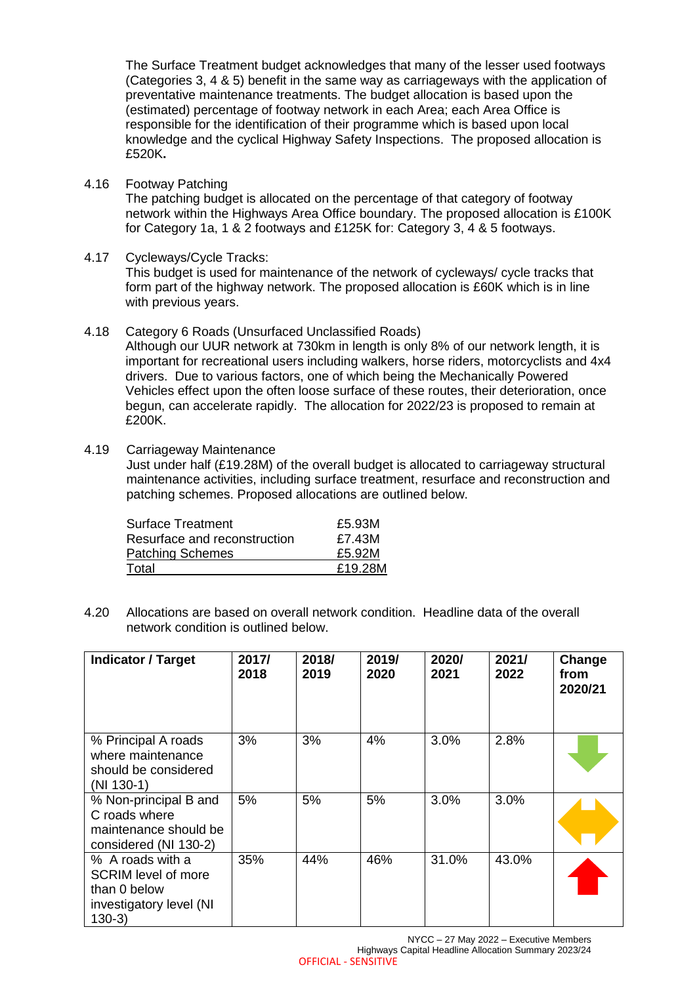The Surface Treatment budget acknowledges that many of the lesser used footways (Categories 3, 4 & 5) benefit in the same way as carriageways with the application of preventative maintenance treatments. The budget allocation is based upon the (estimated) percentage of footway network in each Area; each Area Office is responsible for the identification of their programme which is based upon local knowledge and the cyclical Highway Safety Inspections. The proposed allocation is £520K**.** 

4.16 Footway Patching

The patching budget is allocated on the percentage of that category of footway network within the Highways Area Office boundary. The proposed allocation is £100K for Category 1a, 1 & 2 footways and £125K for: Category 3, 4 & 5 footways.

4.17 Cycleways/Cycle Tracks:

This budget is used for maintenance of the network of cycleways/ cycle tracks that form part of the highway network. The proposed allocation is £60K which is in line with previous years.

- 4.18 Category 6 Roads (Unsurfaced Unclassified Roads) Although our UUR network at 730km in length is only 8% of our network length, it is important for recreational users including walkers, horse riders, motorcyclists and 4x4 drivers. Due to various factors, one of which being the Mechanically Powered Vehicles effect upon the often loose surface of these routes, their deterioration, once begun, can accelerate rapidly. The allocation for 2022/23 is proposed to remain at £200K.
- 4.19 Carriageway Maintenance

Just under half (£19.28M) of the overall budget is allocated to carriageway structural maintenance activities, including surface treatment, resurface and reconstruction and patching schemes. Proposed allocations are outlined below.

| Surface Treatment            | £5.93M  |
|------------------------------|---------|
| Resurface and reconstruction | £7.43M  |
| <b>Patching Schemes</b>      | £5.92M  |
| Total                        | £19.28M |

4.20 Allocations are based on overall network condition. Headline data of the overall network condition is outlined below.

| <b>Indicator / Target</b>                                                                      | 2017/<br>2018 | 2018/<br>2019 | 2019/<br>2020 | 2020/<br>2021 | 2021/<br>2022 | Change<br>from<br>2020/21 |
|------------------------------------------------------------------------------------------------|---------------|---------------|---------------|---------------|---------------|---------------------------|
| % Principal A roads<br>where maintenance<br>should be considered<br>$(NI 130-1)$               | 3%            | 3%            | 4%            | 3.0%          | 2.8%          |                           |
| % Non-principal B and<br>C roads where<br>maintenance should be<br>considered (NI 130-2)       | 5%            | 5%            | 5%            | 3.0%          | 3.0%          |                           |
| % A roads with a<br>SCRIM level of more<br>than 0 below<br>investigatory level (NI<br>$130-3)$ | 35%           | 44%           | 46%           | 31.0%         | 43.0%         |                           |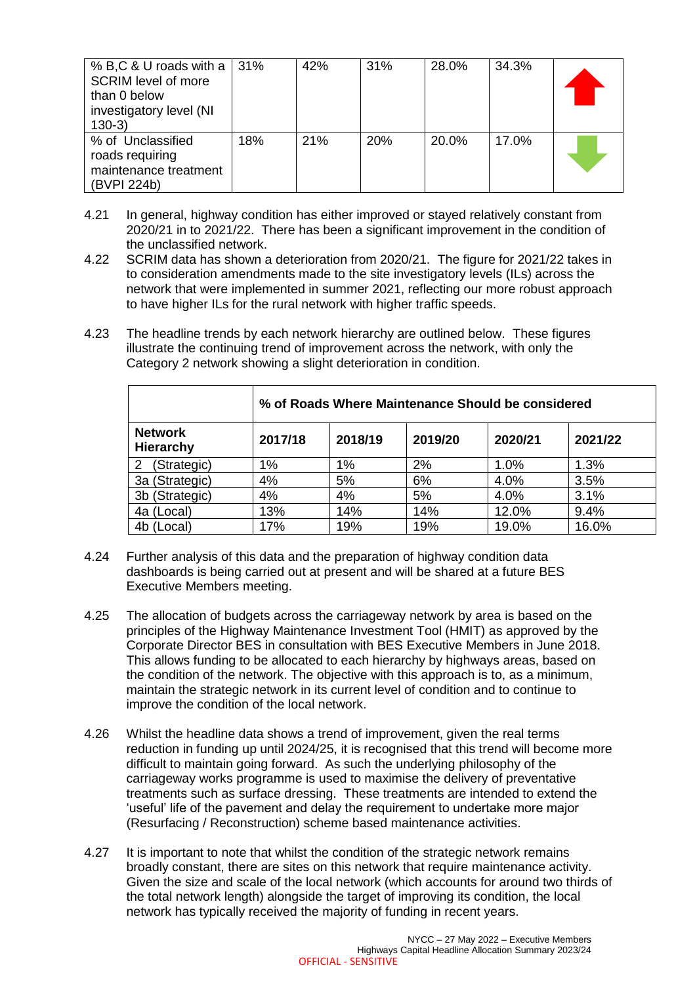| % B,C & U roads with a<br><b>SCRIM level of more</b><br>than 0 below<br>investigatory level (NI<br>$130-3)$ | 31% | 42% | 31% | 28.0% | 34.3% |  |
|-------------------------------------------------------------------------------------------------------------|-----|-----|-----|-------|-------|--|
| % of Unclassified<br>roads requiring<br>maintenance treatment<br>(BVPI 224b)                                | 18% | 21% | 20% | 20.0% | 17.0% |  |

- 4.21 In general, highway condition has either improved or stayed relatively constant from 2020/21 in to 2021/22. There has been a significant improvement in the condition of the unclassified network.
- 4.22 SCRIM data has shown a deterioration from 2020/21. The figure for 2021/22 takes in to consideration amendments made to the site investigatory levels (ILs) across the network that were implemented in summer 2021, reflecting our more robust approach to have higher ILs for the rural network with higher traffic speeds.
- 4.23 The headline trends by each network hierarchy are outlined below. These figures illustrate the continuing trend of improvement across the network, with only the Category 2 network showing a slight deterioration in condition.

|                                    | % of Roads Where Maintenance Should be considered |         |         |         |         |
|------------------------------------|---------------------------------------------------|---------|---------|---------|---------|
| <b>Network</b><br><b>Hierarchy</b> | 2017/18                                           | 2018/19 | 2019/20 | 2020/21 | 2021/22 |
| (Strategic)<br>2                   | $1\%$                                             | 1%      | 2%      | 1.0%    | 1.3%    |
| 3a (Strategic)                     | 4%                                                | 5%      | 6%      | 4.0%    | 3.5%    |
| 3b (Strategic)                     | 4%                                                | 4%      | 5%      | 4.0%    | 3.1%    |
| 4a (Local)                         | 13%                                               | 14%     | 14%     | 12.0%   | 9.4%    |
| 4b (Local)                         | 17%                                               | 19%     | 19%     | 19.0%   | 16.0%   |

- 4.24 Further analysis of this data and the preparation of highway condition data dashboards is being carried out at present and will be shared at a future BES Executive Members meeting.
- 4.25 The allocation of budgets across the carriageway network by area is based on the principles of the Highway Maintenance Investment Tool (HMIT) as approved by the Corporate Director BES in consultation with BES Executive Members in June 2018. This allows funding to be allocated to each hierarchy by highways areas, based on the condition of the network. The objective with this approach is to, as a minimum, maintain the strategic network in its current level of condition and to continue to improve the condition of the local network.
- 4.26 Whilst the headline data shows a trend of improvement, given the real terms reduction in funding up until 2024/25, it is recognised that this trend will become more difficult to maintain going forward. As such the underlying philosophy of the carriageway works programme is used to maximise the delivery of preventative treatments such as surface dressing. These treatments are intended to extend the 'useful' life of the pavement and delay the requirement to undertake more major (Resurfacing / Reconstruction) scheme based maintenance activities.
- 4.27 It is important to note that whilst the condition of the strategic network remains broadly constant, there are sites on this network that require maintenance activity. Given the size and scale of the local network (which accounts for around two thirds of the total network length) alongside the target of improving its condition, the local network has typically received the majority of funding in recent years.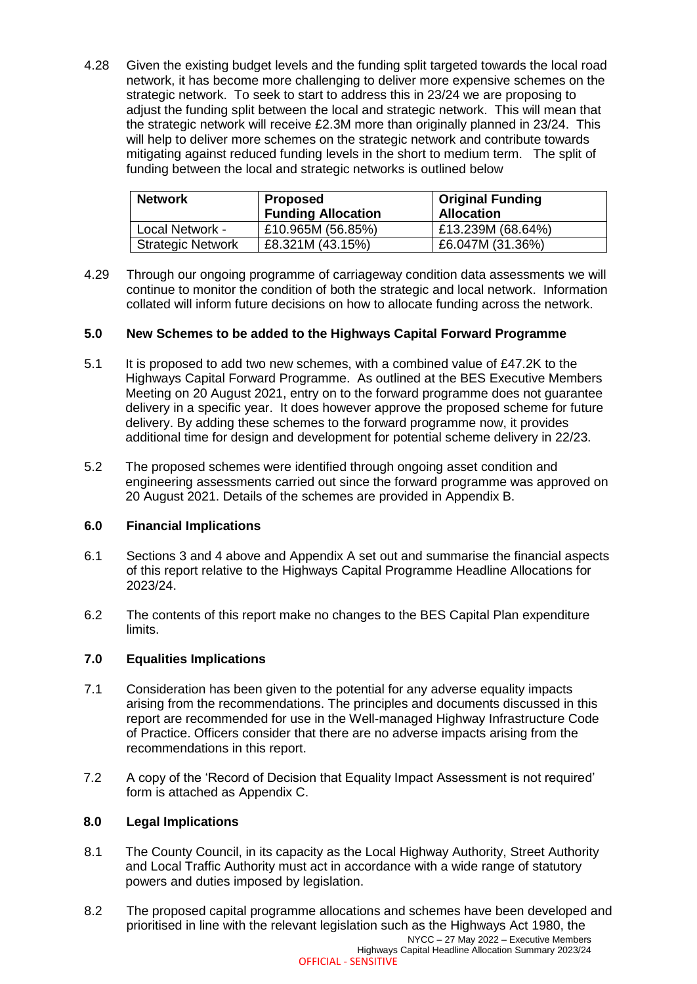4.28 Given the existing budget levels and the funding split targeted towards the local road network, it has become more challenging to deliver more expensive schemes on the strategic network. To seek to start to address this in 23/24 we are proposing to adjust the funding split between the local and strategic network. This will mean that the strategic network will receive £2.3M more than originally planned in 23/24. This will help to deliver more schemes on the strategic network and contribute towards mitigating against reduced funding levels in the short to medium term. The split of funding between the local and strategic networks is outlined below

| <b>Network</b>           | <b>Proposed</b><br><b>Funding Allocation</b> | <b>Original Funding</b><br><b>Allocation</b> |
|--------------------------|----------------------------------------------|----------------------------------------------|
| Local Network -          | £10.965M (56.85%)                            | £13.239M (68.64%)                            |
| <b>Strategic Network</b> | £8.321M (43.15%)                             | £6.047M (31.36%)                             |

4.29 Through our ongoing programme of carriageway condition data assessments we will continue to monitor the condition of both the strategic and local network. Information collated will inform future decisions on how to allocate funding across the network.

# **5.0 New Schemes to be added to the Highways Capital Forward Programme**

- 5.1 It is proposed to add two new schemes, with a combined value of £47.2K to the Highways Capital Forward Programme. As outlined at the BES Executive Members Meeting on 20 August 2021, entry on to the forward programme does not guarantee delivery in a specific year. It does however approve the proposed scheme for future delivery. By adding these schemes to the forward programme now, it provides additional time for design and development for potential scheme delivery in 22/23.
- 5.2 The proposed schemes were identified through ongoing asset condition and engineering assessments carried out since the forward programme was approved on 20 August 2021. Details of the schemes are provided in Appendix B.

### **6.0 Financial Implications**

- 6.1 Sections 3 and 4 above and Appendix A set out and summarise the financial aspects of this report relative to the Highways Capital Programme Headline Allocations for 2023/24.
- 6.2 The contents of this report make no changes to the BES Capital Plan expenditure limits.

### **7.0 Equalities Implications**

- 7.1 Consideration has been given to the potential for any adverse equality impacts arising from the recommendations. The principles and documents discussed in this report are recommended for use in the Well-managed Highway Infrastructure Code of Practice. Officers consider that there are no adverse impacts arising from the recommendations in this report.
- 7.2 A copy of the 'Record of Decision that Equality Impact Assessment is not required' form is attached as Appendix C.

### **8.0 Legal Implications**

- 8.1 The County Council, in its capacity as the Local Highway Authority, Street Authority and Local Traffic Authority must act in accordance with a wide range of statutory powers and duties imposed by legislation.
- NYCC 27 May 2022 Executive Members 8.2 The proposed capital programme allocations and schemes have been developed and prioritised in line with the relevant legislation such as the Highways Act 1980, the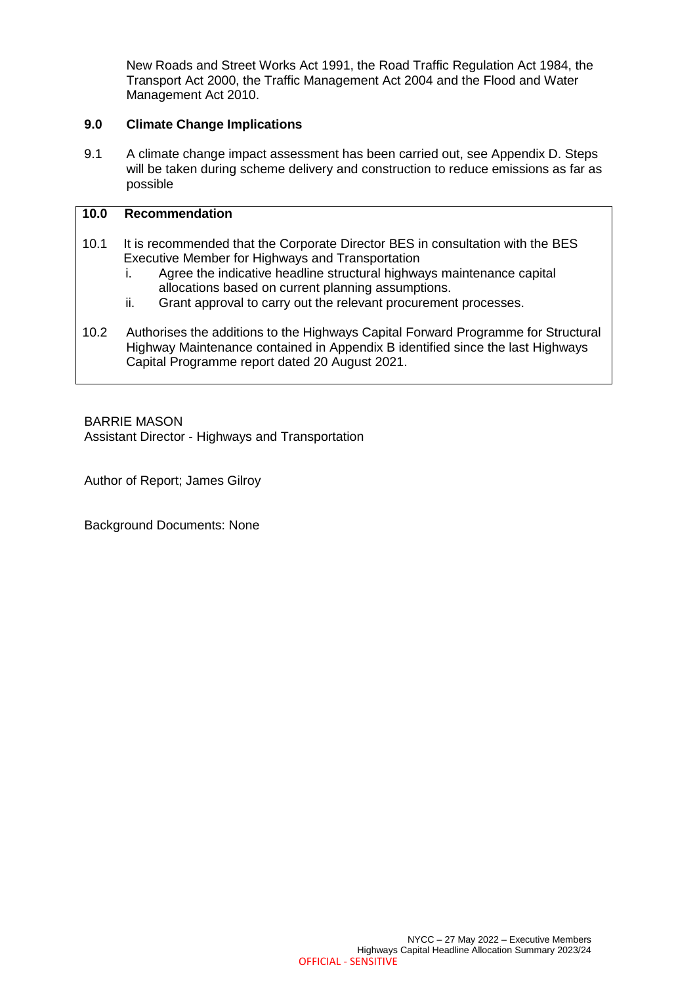New Roads and Street Works Act 1991, the Road Traffic Regulation Act 1984, the Transport Act 2000, the Traffic Management Act 2004 and the Flood and Water Management Act 2010.

### **9.0 Climate Change Implications**

9.1 A climate change impact assessment has been carried out, see Appendix D. Steps will be taken during scheme delivery and construction to reduce emissions as far as possible

# **10.0 Recommendation**

- 10.1 It is recommended that the Corporate Director BES in consultation with the BES Executive Member for Highways and Transportation
	- i. Agree the indicative headline structural highways maintenance capital allocations based on current planning assumptions.
	- ii. Grant approval to carry out the relevant procurement processes.
- 10.2 Authorises the additions to the Highways Capital Forward Programme for Structural Highway Maintenance contained in Appendix B identified since the last Highways Capital Programme report dated 20 August 2021.

BARRIE MASON Assistant Director - Highways and Transportation

Author of Report; James Gilroy

Background Documents: None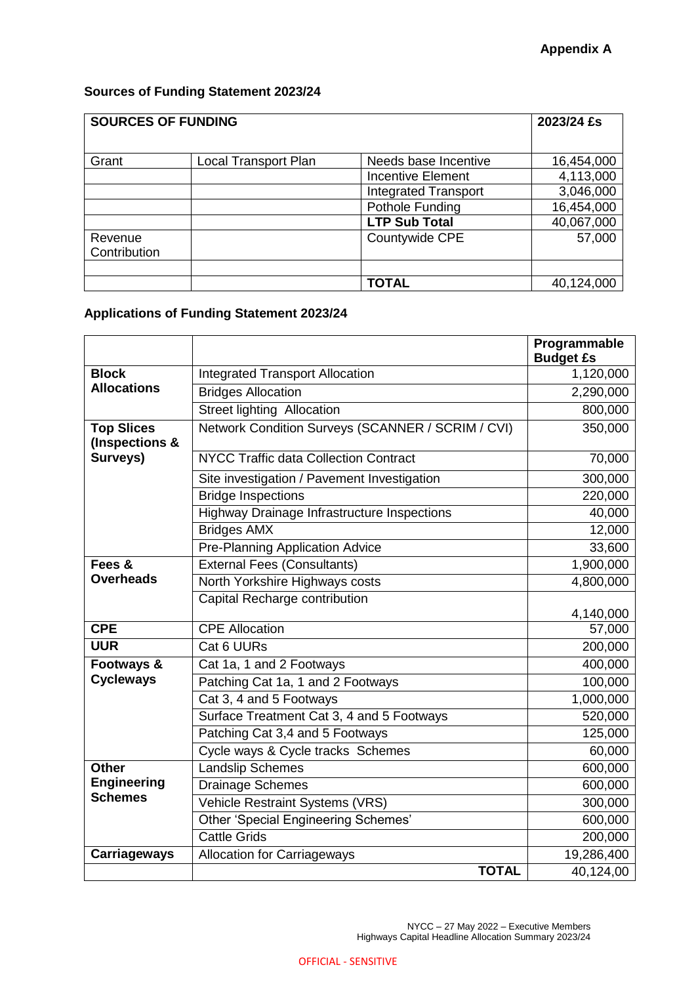# **Sources of Funding Statement 2023/24**

| <b>SOURCES OF FUNDING</b> | 2023/24 £s           |                             |            |
|---------------------------|----------------------|-----------------------------|------------|
| Grant                     | Local Transport Plan | Needs base Incentive        | 16,454,000 |
|                           |                      | <b>Incentive Element</b>    | 4,113,000  |
|                           |                      | <b>Integrated Transport</b> | 3,046,000  |
|                           |                      | Pothole Funding             | 16,454,000 |
|                           |                      | <b>LTP Sub Total</b>        | 40,067,000 |
| Revenue                   |                      | Countywide CPE              | 57,000     |
| Contribution              |                      |                             |            |
|                           |                      |                             |            |
|                           |                      | <b>TOTAL</b>                | 40,124,000 |

# **Applications of Funding Statement 2023/24**

|                                     |                                                    | Programmable<br><b>Budget £s</b> |
|-------------------------------------|----------------------------------------------------|----------------------------------|
| <b>Block</b>                        | <b>Integrated Transport Allocation</b>             | 1,120,000                        |
| <b>Allocations</b>                  | <b>Bridges Allocation</b>                          | 2,290,000                        |
|                                     | Street lighting Allocation                         | 800,000                          |
| <b>Top Slices</b><br>(Inspections & | Network Condition Surveys (SCANNER / SCRIM / CVI)  | 350,000                          |
| Surveys)                            | <b>NYCC Traffic data Collection Contract</b>       | 70,000                           |
|                                     | Site investigation / Pavement Investigation        | 300,000                          |
|                                     | <b>Bridge Inspections</b>                          | 220,000                          |
|                                     | <b>Highway Drainage Infrastructure Inspections</b> | 40,000                           |
|                                     | <b>Bridges AMX</b>                                 | 12,000                           |
|                                     | <b>Pre-Planning Application Advice</b>             | 33,600                           |
| Fees &                              | <b>External Fees (Consultants)</b>                 | 1,900,000                        |
| <b>Overheads</b>                    | North Yorkshire Highways costs                     | 4,800,000                        |
|                                     | Capital Recharge contribution                      | 4,140,000                        |
| <b>CPE</b>                          | <b>CPE Allocation</b>                              | 57,000                           |
| <b>UUR</b>                          | Cat 6 UURs                                         | 200,000                          |
| Footways &                          | Cat 1a, 1 and 2 Footways                           | 400,000                          |
| <b>Cycleways</b>                    | Patching Cat 1a, 1 and 2 Footways                  | 100,000                          |
|                                     | Cat 3, 4 and 5 Footways                            | 1,000,000                        |
|                                     | Surface Treatment Cat 3, 4 and 5 Footways          | 520,000                          |
|                                     | Patching Cat 3,4 and 5 Footways                    | 125,000                          |
|                                     | Cycle ways & Cycle tracks Schemes                  | 60,000                           |
| <b>Other</b>                        | <b>Landslip Schemes</b>                            | 600,000                          |
| <b>Engineering</b>                  | <b>Drainage Schemes</b>                            | 600,000                          |
| <b>Schemes</b>                      | Vehicle Restraint Systems (VRS)                    | 300,000                          |
|                                     | <b>Other 'Special Engineering Schemes'</b>         | 600,000                          |
|                                     | <b>Cattle Grids</b>                                | 200,000                          |
| <b>Carriageways</b>                 | <b>Allocation for Carriageways</b>                 | 19,286,400                       |
|                                     | <b>TOTAL</b>                                       | 40,124,00                        |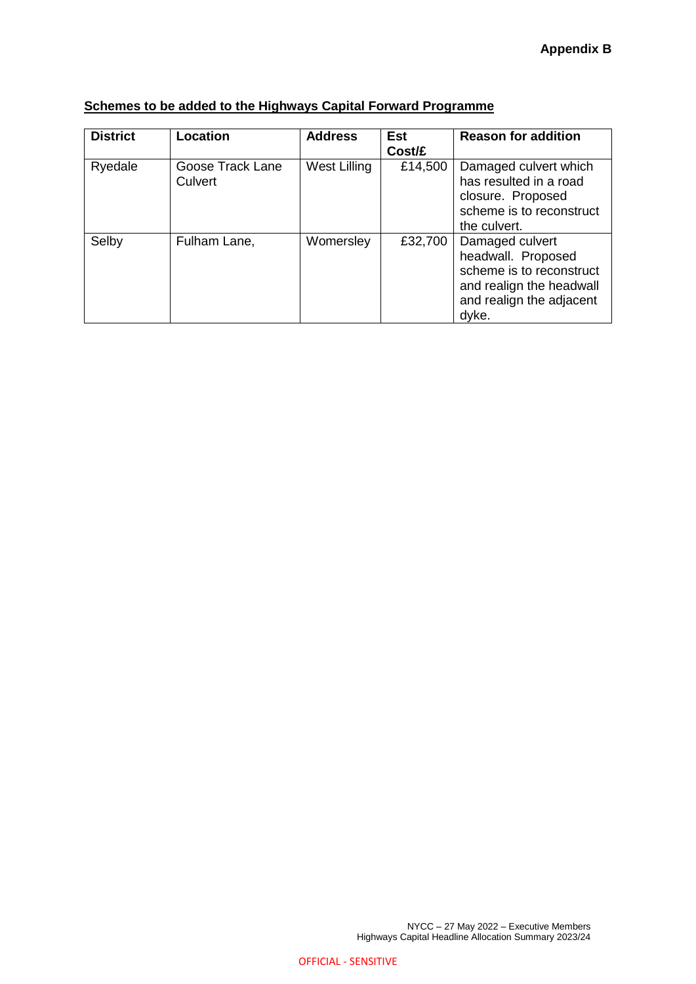| <b>District</b> | Location                    | <b>Address</b> | Est<br>Cost/£ | <b>Reason for addition</b>                                                                                                         |
|-----------------|-----------------------------|----------------|---------------|------------------------------------------------------------------------------------------------------------------------------------|
| Ryedale         | Goose Track Lane<br>Culvert | West Lilling   | £14,500       | Damaged culvert which<br>has resulted in a road<br>closure. Proposed<br>scheme is to reconstruct<br>the culvert.                   |
| Selby           | Fulham Lane,                | Womersley      | £32,700       | Damaged culvert<br>headwall. Proposed<br>scheme is to reconstruct<br>and realign the headwall<br>and realign the adjacent<br>dyke. |

# **Schemes to be added to the Highways Capital Forward Programme**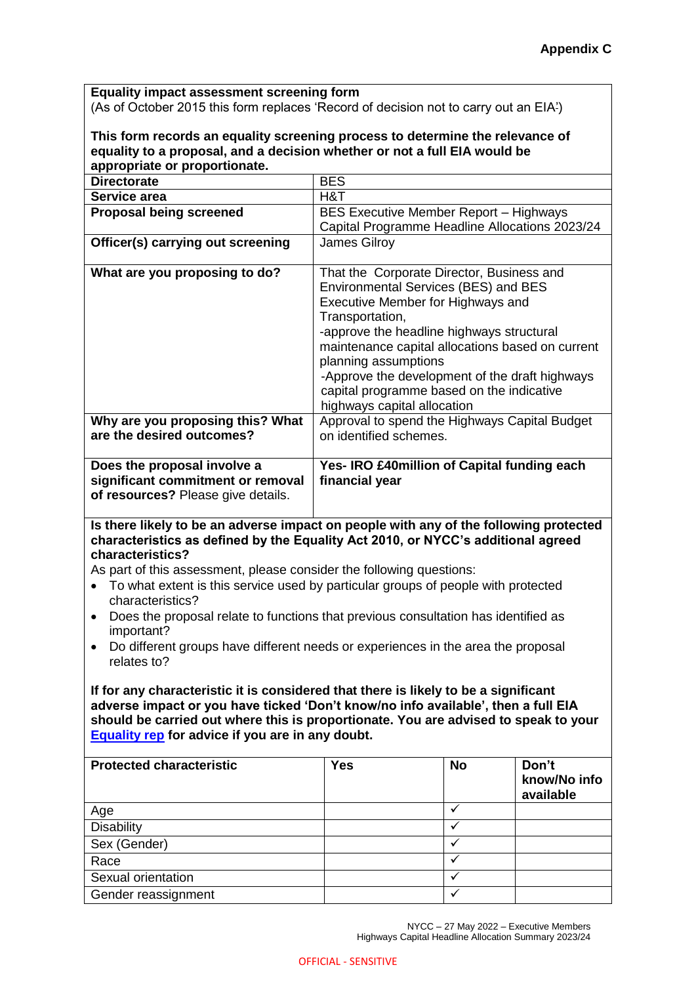**Equality impact assessment screening form**

(As of October 2015 this form replaces 'Record of decision not to carry out an EIA')

#### **This form records an equality screening process to determine the relevance of equality to a proposal, and a decision whether or not a full EIA would be appropriate or proportionate.**

| appropriato or proportional                                                                            |                                                                                                                                                                                                                                                                                                                                                                                                         |
|--------------------------------------------------------------------------------------------------------|---------------------------------------------------------------------------------------------------------------------------------------------------------------------------------------------------------------------------------------------------------------------------------------------------------------------------------------------------------------------------------------------------------|
| <b>Directorate</b>                                                                                     | <b>BES</b>                                                                                                                                                                                                                                                                                                                                                                                              |
| Service area                                                                                           | H&T                                                                                                                                                                                                                                                                                                                                                                                                     |
| <b>Proposal being screened</b>                                                                         | <b>BES Executive Member Report – Highways</b>                                                                                                                                                                                                                                                                                                                                                           |
|                                                                                                        | Capital Programme Headline Allocations 2023/24                                                                                                                                                                                                                                                                                                                                                          |
| Officer(s) carrying out screening                                                                      | <b>James Gilroy</b>                                                                                                                                                                                                                                                                                                                                                                                     |
| What are you proposing to do?                                                                          | That the Corporate Director, Business and<br><b>Environmental Services (BES) and BES</b><br>Executive Member for Highways and<br>Transportation,<br>-approve the headline highways structural<br>maintenance capital allocations based on current<br>planning assumptions<br>-Approve the development of the draft highways<br>capital programme based on the indicative<br>highways capital allocation |
| Why are you proposing this? What<br>are the desired outcomes?                                          | Approval to spend the Highways Capital Budget<br>on identified schemes.                                                                                                                                                                                                                                                                                                                                 |
| Does the proposal involve a<br>significant commitment or removal<br>of resources? Please give details. | Yes- IRO £40 million of Capital funding each<br>financial year                                                                                                                                                                                                                                                                                                                                          |

# **Is there likely to be an adverse impact on people with any of the following protected characteristics as defined by the Equality Act 2010, or NYCC's additional agreed characteristics?**

As part of this assessment, please consider the following questions:

- To what extent is this service used by particular groups of people with protected characteristics?
- Does the proposal relate to functions that previous consultation has identified as important?
- Do different groups have different needs or experiences in the area the proposal relates to?

**If for any characteristic it is considered that there is likely to be a significant adverse impact or you have ticked 'Don't know/no info available', then a full EIA should be carried out where this is proportionate. You are advised to speak to your [Equality rep](http://nyccintranet/content/equalities-contacts) for advice if you are in any doubt.**

| <b>Protected characteristic</b> | <b>Yes</b> | <b>No</b> | Don't<br>know/No info<br>available |
|---------------------------------|------------|-----------|------------------------------------|
| Age                             |            |           |                                    |
| <b>Disability</b>               |            |           |                                    |
| Sex (Gender)                    |            |           |                                    |
| Race                            |            |           |                                    |
| Sexual orientation              |            |           |                                    |
| Gender reassignment             |            |           |                                    |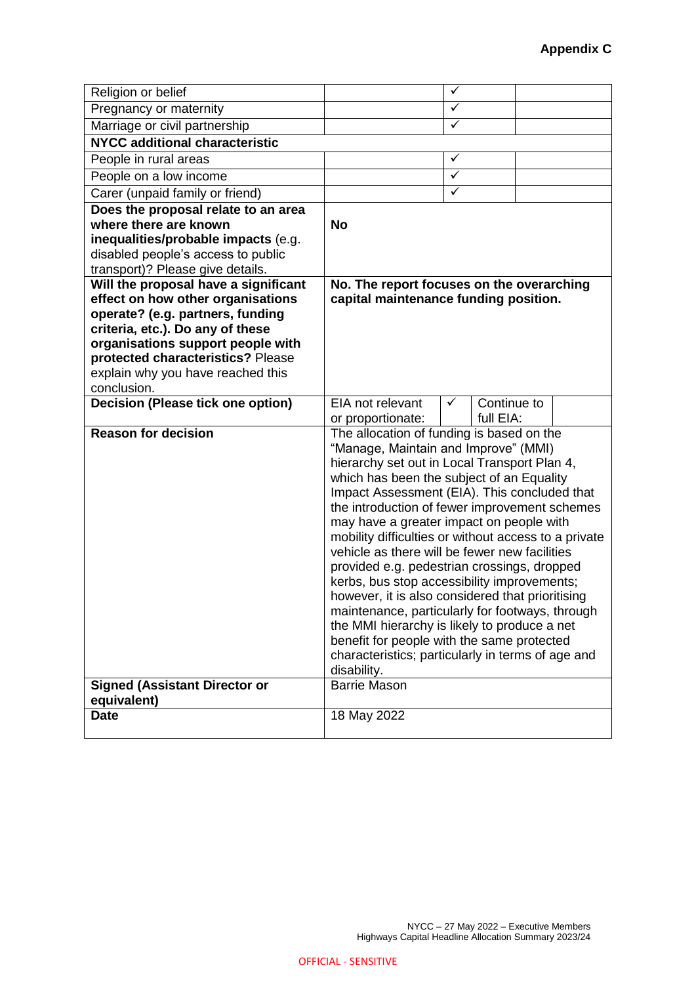| Religion or belief                                                     |                                                                                            | ✓                |  |
|------------------------------------------------------------------------|--------------------------------------------------------------------------------------------|------------------|--|
| Pregnancy or maternity                                                 |                                                                                            | $\checkmark$     |  |
| Marriage or civil partnership                                          |                                                                                            | $\checkmark$     |  |
| <b>NYCC additional characteristic</b>                                  |                                                                                            |                  |  |
| People in rural areas                                                  |                                                                                            | $\checkmark$     |  |
| People on a low income                                                 |                                                                                            | $\checkmark$     |  |
| Carer (unpaid family or friend)                                        |                                                                                            | $\checkmark$     |  |
| Does the proposal relate to an area                                    |                                                                                            |                  |  |
| where there are known                                                  | <b>No</b>                                                                                  |                  |  |
| inequalities/probable impacts (e.g.                                    |                                                                                            |                  |  |
| disabled people's access to public                                     |                                                                                            |                  |  |
| transport)? Please give details.                                       |                                                                                            |                  |  |
| Will the proposal have a significant                                   | No. The report focuses on the overarching                                                  |                  |  |
| effect on how other organisations                                      | capital maintenance funding position.                                                      |                  |  |
| operate? (e.g. partners, funding                                       |                                                                                            |                  |  |
| criteria, etc.). Do any of these                                       |                                                                                            |                  |  |
| organisations support people with                                      |                                                                                            |                  |  |
| protected characteristics? Please<br>explain why you have reached this |                                                                                            |                  |  |
| conclusion.                                                            |                                                                                            |                  |  |
| <b>Decision (Please tick one option)</b>                               | EIA not relevant                                                                           | Continue to<br>✓ |  |
|                                                                        | or proportionate:                                                                          | full EIA:        |  |
| <b>Reason for decision</b>                                             | The allocation of funding is based on the                                                  |                  |  |
|                                                                        | "Manage, Maintain and Improve" (MMI)                                                       |                  |  |
|                                                                        | hierarchy set out in Local Transport Plan 4,                                               |                  |  |
|                                                                        | which has been the subject of an Equality                                                  |                  |  |
|                                                                        | Impact Assessment (EIA). This concluded that                                               |                  |  |
|                                                                        | the introduction of fewer improvement schemes                                              |                  |  |
|                                                                        | may have a greater impact on people with                                                   |                  |  |
|                                                                        | mobility difficulties or without access to a private                                       |                  |  |
|                                                                        | vehicle as there will be fewer new facilities                                              |                  |  |
|                                                                        | provided e.g. pedestrian crossings, dropped                                                |                  |  |
|                                                                        | kerbs, bus stop accessibility improvements;                                                |                  |  |
|                                                                        | however, it is also considered that prioritising                                           |                  |  |
|                                                                        | maintenance, particularly for footways, through                                            |                  |  |
|                                                                        | the MMI hierarchy is likely to produce a net<br>benefit for people with the same protected |                  |  |
|                                                                        | characteristics; particularly in terms of age and                                          |                  |  |
|                                                                        | disability.                                                                                |                  |  |
| <b>Signed (Assistant Director or</b>                                   | <b>Barrie Mason</b>                                                                        |                  |  |
| equivalent)                                                            |                                                                                            |                  |  |
| <b>Date</b>                                                            | 18 May 2022                                                                                |                  |  |
|                                                                        |                                                                                            |                  |  |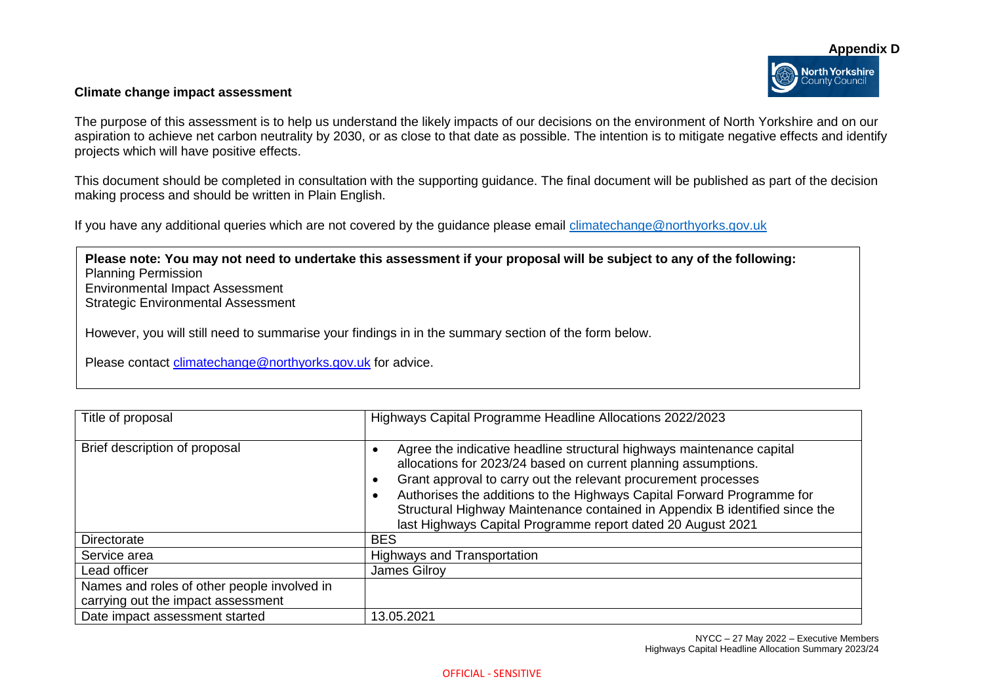#### **Climate change impact assessment**

The purpose of this assessment is to help us understand the likely impacts of our decisions on the environment of North Yorkshire and on our aspiration to achieve net carbon neutrality by 2030, or as close to that date as possible. The intention is to mitigate negative effects and identify projects which will have positive effects.

This document should be completed in consultation with the supporting guidance. The final document will be published as part of the decision making process and should be written in Plain English.

If you have any additional queries which are not covered by the guidance please email [climatechange@northyorks.gov.uk](mailto:climatechange@northyorks.gov.uk) 

**Please note: You may not need to undertake this assessment if your proposal will be subject to any of the following:**  Planning Permission Environmental Impact Assessment Strategic Environmental Assessment

However, you will still need to summarise your findings in in the summary section of the form below.

Please contact [climatechange@northyorks.gov.uk](mailto:climatechange@northyorks.gov.uk) for advice.

| Title of proposal                                                                 | Highways Capital Programme Headline Allocations 2022/2023                                                                                                                                                                                                                                                                                                                                                                                       |
|-----------------------------------------------------------------------------------|-------------------------------------------------------------------------------------------------------------------------------------------------------------------------------------------------------------------------------------------------------------------------------------------------------------------------------------------------------------------------------------------------------------------------------------------------|
| Brief description of proposal                                                     | Agree the indicative headline structural highways maintenance capital<br>allocations for 2023/24 based on current planning assumptions.<br>Grant approval to carry out the relevant procurement processes<br>$\epsilon$<br>Authorises the additions to the Highways Capital Forward Programme for<br>Structural Highway Maintenance contained in Appendix B identified since the<br>last Highways Capital Programme report dated 20 August 2021 |
| Directorate                                                                       | <b>BES</b>                                                                                                                                                                                                                                                                                                                                                                                                                                      |
| Service area                                                                      | <b>Highways and Transportation</b>                                                                                                                                                                                                                                                                                                                                                                                                              |
| Lead officer                                                                      | James Gilroy                                                                                                                                                                                                                                                                                                                                                                                                                                    |
| Names and roles of other people involved in<br>carrying out the impact assessment |                                                                                                                                                                                                                                                                                                                                                                                                                                                 |
| Date impact assessment started                                                    | 13.05.2021                                                                                                                                                                                                                                                                                                                                                                                                                                      |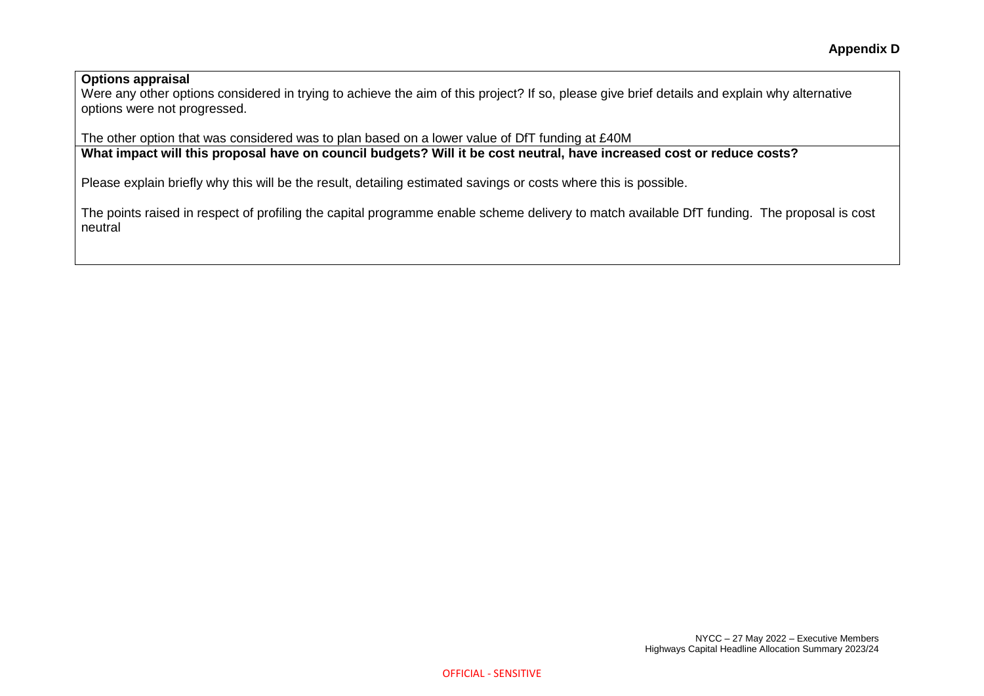#### **Options appraisal**

Were any other options considered in trying to achieve the aim of this project? If so, please give brief details and explain why alternative options were not progressed.

The other option that was considered was to plan based on a lower value of DfT funding at £40M

**What impact will this proposal have on council budgets? Will it be cost neutral, have increased cost or reduce costs?** 

Please explain briefly why this will be the result, detailing estimated savings or costs where this is possible.

The points raised in respect of profiling the capital programme enable scheme delivery to match available DfT funding. The proposal is cost neutral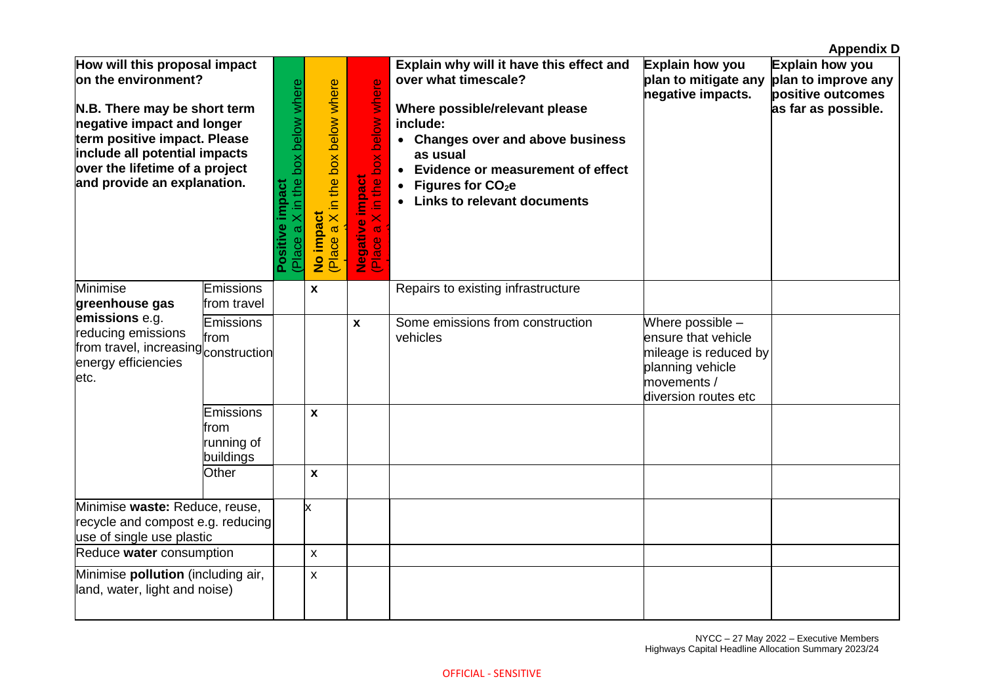|                                                                                                                                                                                                                                                      |                                              |                                                        |                                                     |                                                                         |                                                                                                                                                                                                                                                                                       |                                                                                                                             | <b>Appendix D</b>                                                                  |
|------------------------------------------------------------------------------------------------------------------------------------------------------------------------------------------------------------------------------------------------------|----------------------------------------------|--------------------------------------------------------|-----------------------------------------------------|-------------------------------------------------------------------------|---------------------------------------------------------------------------------------------------------------------------------------------------------------------------------------------------------------------------------------------------------------------------------------|-----------------------------------------------------------------------------------------------------------------------------|------------------------------------------------------------------------------------|
| How will this proposal impact<br>on the environment?<br>N.B. There may be short term<br>negative impact and longer<br>term positive impact. Please<br>include all potential impacts<br>over the lifetime of a project<br>and provide an explanation. |                                              | Place a X in the box below where<br>impact<br>Positive | a X in the box below where<br>No impact<br>(Place a | X in the box below where<br><b>Negative impact</b><br>(Place a X in the | Explain why will it have this effect and<br>over what timescale?<br>Where possible/relevant please<br>include:<br>• Changes over and above business<br>as usual<br>• Evidence or measurement of effect<br>Figures for CO <sub>2</sub> e<br>$\bullet$<br>• Links to relevant documents | Explain how you<br>plan to mitigate any<br>negative impacts.                                                                | Explain how you<br>plan to improve any<br>positive outcomes<br>as far as possible. |
| Minimise<br>greenhouse gas                                                                                                                                                                                                                           | Emissions<br>from travel                     |                                                        | X                                                   |                                                                         | Repairs to existing infrastructure                                                                                                                                                                                                                                                    |                                                                                                                             |                                                                                    |
| emissions e.g.<br>reducing emissions<br>from travel, increasing construction<br>energy efficiencies<br>letc.                                                                                                                                         | Emissions<br>from                            |                                                        |                                                     | $\mathbf{x}$                                                            | Some emissions from construction<br>vehicles                                                                                                                                                                                                                                          | Where possible -<br>ensure that vehicle<br>mileage is reduced by<br>planning vehicle<br>movements /<br>diversion routes etc |                                                                                    |
|                                                                                                                                                                                                                                                      | Emissions<br>from<br>running of<br>buildings |                                                        | X                                                   |                                                                         |                                                                                                                                                                                                                                                                                       |                                                                                                                             |                                                                                    |
|                                                                                                                                                                                                                                                      | Other                                        |                                                        | X                                                   |                                                                         |                                                                                                                                                                                                                                                                                       |                                                                                                                             |                                                                                    |
| Minimise waste: Reduce, reuse,<br>recycle and compost e.g. reducing<br>use of single use plastic                                                                                                                                                     |                                              |                                                        | x                                                   |                                                                         |                                                                                                                                                                                                                                                                                       |                                                                                                                             |                                                                                    |
| Reduce water consumption                                                                                                                                                                                                                             |                                              |                                                        | $\pmb{\mathsf{X}}$                                  |                                                                         |                                                                                                                                                                                                                                                                                       |                                                                                                                             |                                                                                    |
| Minimise pollution (including air,<br>land, water, light and noise)                                                                                                                                                                                  |                                              |                                                        | $\mathsf{x}$                                        |                                                                         |                                                                                                                                                                                                                                                                                       |                                                                                                                             |                                                                                    |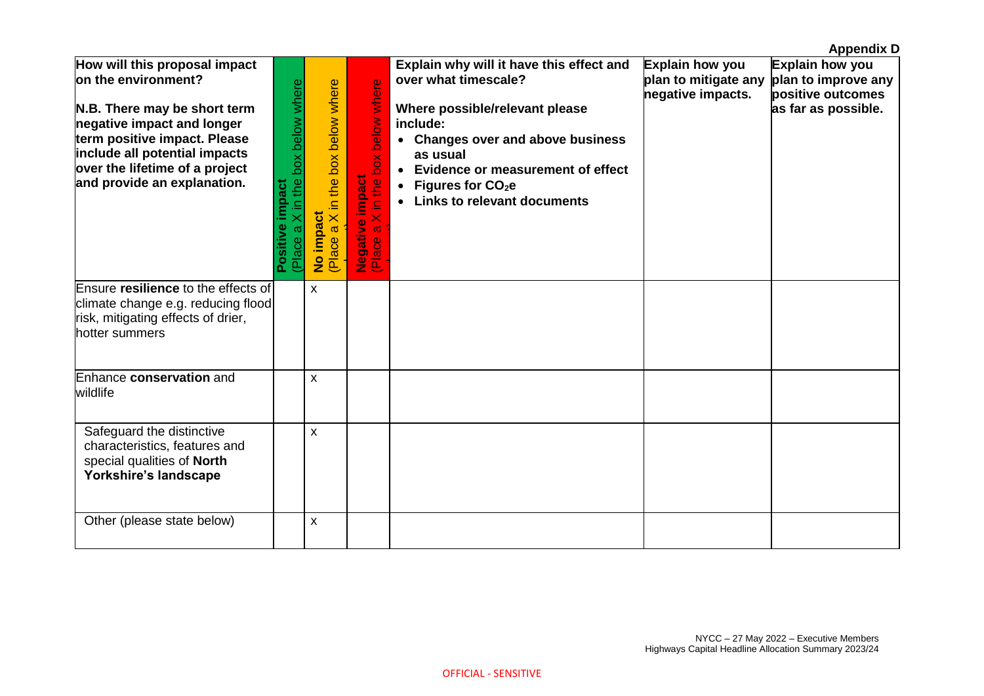|                                                                                                                                                                                                                                                      |                                                        |                                                       |                                                                                           |                                                                                                                                                                                                                                                                                                         |                                                                                  | <b>Appendix D</b>                                           |
|------------------------------------------------------------------------------------------------------------------------------------------------------------------------------------------------------------------------------------------------------|--------------------------------------------------------|-------------------------------------------------------|-------------------------------------------------------------------------------------------|---------------------------------------------------------------------------------------------------------------------------------------------------------------------------------------------------------------------------------------------------------------------------------------------------------|----------------------------------------------------------------------------------|-------------------------------------------------------------|
| How will this proposal impact<br>on the environment?<br>N.B. There may be short term<br>negative impact and longer<br>term positive impact. Please<br>include all potential impacts<br>over the lifetime of a project<br>and provide an explanation. | Place a X in the box below where<br>impact<br>Positive | X in the box below where<br>No impact<br>(Place a X i | in the box below where<br><b>impact</b><br>$\overline{\times}$<br>Negative i<br>Place a X | Explain why will it have this effect and<br>over what timescale?<br>Where possible/relevant please<br>include:<br>• Changes over and above business<br>as usual<br>• Evidence or measurement of effect<br>Figures for CO <sub>2</sub> e<br>$\bullet$<br><b>Links to relevant documents</b><br>$\bullet$ | Explain how you<br>plan to mitigate any plan to improve any<br>negative impacts. | Explain how you<br>positive outcomes<br>as far as possible. |
| Ensure resilience to the effects of<br>climate change e.g. reducing flood<br>risk, mitigating effects of drier,<br>hotter summers                                                                                                                    |                                                        | X                                                     |                                                                                           |                                                                                                                                                                                                                                                                                                         |                                                                                  |                                                             |
| Enhance conservation and<br>wildlife                                                                                                                                                                                                                 |                                                        | X                                                     |                                                                                           |                                                                                                                                                                                                                                                                                                         |                                                                                  |                                                             |
| Safeguard the distinctive<br>characteristics, features and<br>special qualities of North<br>Yorkshire's landscape                                                                                                                                    |                                                        | X                                                     |                                                                                           |                                                                                                                                                                                                                                                                                                         |                                                                                  |                                                             |
| Other (please state below)                                                                                                                                                                                                                           |                                                        | X                                                     |                                                                                           |                                                                                                                                                                                                                                                                                                         |                                                                                  |                                                             |